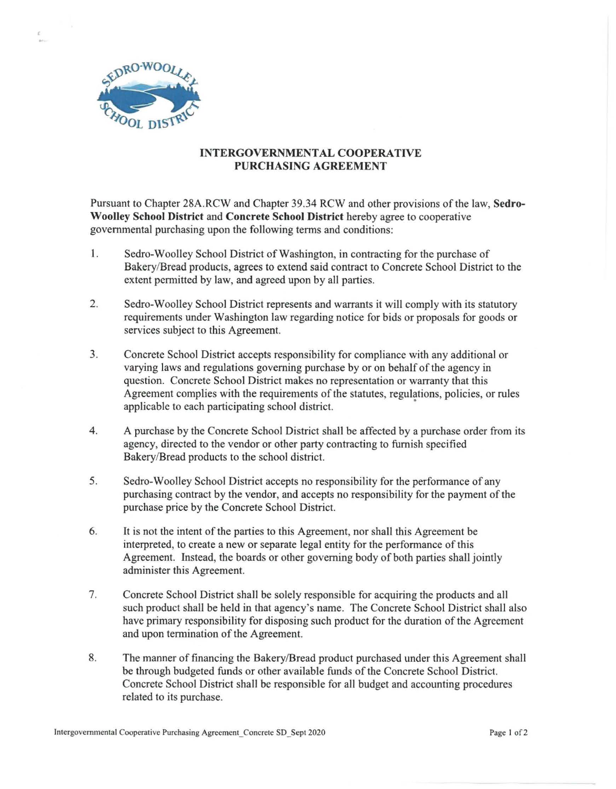

## **INTERGOVERNMENTAL COOPERATIVE PURCHASING AGREEMENT**

Pursuant to Chapter 28A.RCW and Chapter 39.34 RCW and other provisions ofthe law, **Sedro-W oolley School District** and **Concrete School District** hereby agree to cooperative governmental purchasing upon the following terms and conditions:

- 1. Sedro-Woolley School District of Washington, in contracting for the purchase of Bakery/Bread products, agrees to extend said contract to Concrete School District to the extent permitted by law, and agreed upon by all parties.
- 2. Sedro-Woolley School District represents and warrants it will comply with its statutory requirements under Washington law regarding notice for bids or proposals for goods or services subject to this Agreement.
- 3. Concrete School District accepts responsibility for compliance with any additional or varying laws and regulations governing purchase by or on behalf of the agency in question. Concrete School District makes no representation or warranty that this Agreement complies with the requirements of the statutes, regulations, policies, or rules applicable to each participating school district. •
- 4. A purchase by the Concrete School District shall be affected by a purchase order from its agency, directed to the vendor or other party contracting to furnish specified Bakery/Bread products to the school district.
- 5. Sedro-Woolley School District accepts no responsibility for the performance of any purchasing contract by the vendor, and accepts no responsibility for the payment of the purchase price by the Concrete School District.
- 6. It is not the intent of the parties to this Agreement, nor shall this Agreement be interpreted, to create a new or separate legal entity for the performance of this Agreement. Instead, the boards or other governing body of both parties shall jointly administer this Agreement.
- 7. Concrete School District shall be solely responsible for acquiring the products and all such product shall be held in that agency's name. The Concrete School District shall also have primary responsibility for disposing such product for the duration of the Agreement and upon termination of the Agreement.
- 8. The manner of financing the Bakery/Bread product purchased under this Agreement shall be through budgeted funds or other available funds of the Concrete School District. Concrete School District shall be responsible for all budget and accounting procedures related to its purchase.